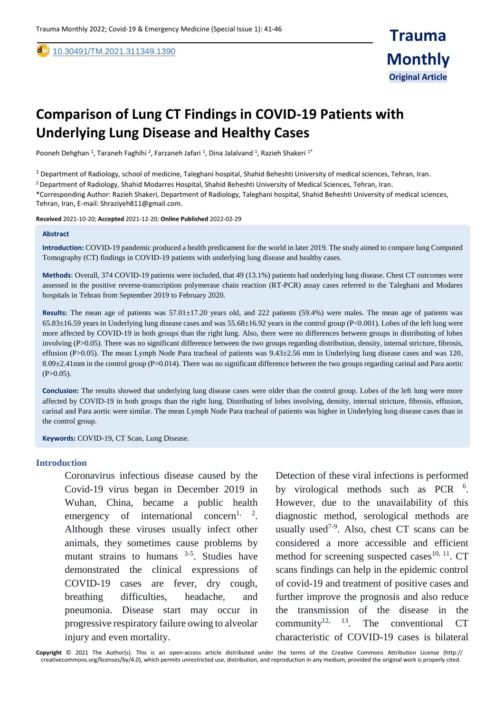[10.30491/TM.2021.311349.1390](https://dx.doi.org/10.30491/tm.2021.264991.1218) 

# **Comparison of Lung CT Findings in COVID-19 Patients with Underlying Lung Disease and Healthy Cases**

Pooneh Dehghan <sup>1</sup>, Taraneh Faghihi <sup>2</sup>, Farzaneh Jafari <sup>1</sup>, Dina Jalalvand <sup>1</sup>, Razieh Shakeri <sup>1\*</sup>

 $1$  Department of Radiology, school of medicine, Taleghani hospital, Shahid Beheshti University of medical sciences, Tehran, Iran. <sup>2</sup>Department of Radiology, Shahid Modarres Hospital, Shahid Beheshti University of Medical Sciences, Tehran, Iran. \*Corresponding Author: Razieh Shakeri, Department of Radiology, Taleghani hospital, Shahid Beheshti University of medical sciences, Tehran, Iran, E-mail: Shraziyeh811@gmail.com.

**Received** 2021-10-20; **Accepted** 2021-12-20; **Online Published** 2022-02-29

#### **Abstract**

,

**Introduction:** COVID-19 pandemic produced a health predicament for the world in later 2019. The study aimed to compare lung Computed Tomography (CT) findings in COVID-19 patients with underlying lung disease and healthy cases.

**Methods**: Overall, 374 COVID-19 patients were included, that 49 (13.1%) patients had underlying lung disease. Chest CT outcomes were assessed in the positive reverse-transcription polymerase chain reaction (RT-PCR) assay cases referred to the Taleghani and Modares hospitals in Tehran from September 2019 to February 2020.

**Results:** The mean age of patients was 57.01±17.20 years old, and 222 patients (59.4%) were males. The mean age of patients was  $65.83\pm16.59$  years in Underlying lung disease cases and was  $55.68\pm16.92$  years in the control group (P<0.001). Lobes of the left lung were more affected by COVID-19 in both groups than the right lung. Also, there were no differences between groups in distributing of lobes involving (P>0.05). There was no significant difference between the two groups regarding distribution, density, internal stricture, fibrosis, effusion (P>0.05). The mean Lymph Node Para tracheal of patients was 9.43±2.56 mm in Underlying lung disease cases and was 120, 8.09±2.41mm in the control group (P=0.014). There was no significant difference between the two groups regarding carinal and Para aortic  $(P>0.05)$ .

**Conclusion:** The results showed that underlying lung disease cases were older than the control group. Lobes of the left lung were more affected by COVID-19 in both groups than the right lung. Distributing of lobes involving, density, internal stricture, fibrosis, effusion, carinal and Para aortic were similar. The mean Lymph Node Para tracheal of patients was higher in Underlying lung disease cases than in the control group.

**Keywords:** COVID-19, CT Scan, Lung Disease.

#### **Introduction**

Coronavirus infectious disease caused by the Covid-19 virus began in December 2019 in Wuhan, China, became a public health emergency of international concern<sup>1, 2</sup>. Although these viruses usually infect other animals, they sometimes cause problems by mutant strains to humans  $3-5$ . Studies have demonstrated the clinical expressions of COVID-19 cases are fever, dry cough, breathing difficulties, headache, and pneumonia. Disease start may occur in progressive respiratory failure owing to alveolar injury and even mortality.

Detection of these viral infections is performed by virological methods such as PCR <sup>6</sup>. However, due to the unavailability of this diagnostic method, serological methods are usually used<sup>7-9</sup>. Also, chest CT scans can be considered a more accessible and efficient method for screening suspected cases $^{10, 11}$ . CT scans findings can help in the epidemic control of covid-19 and treatment of positive cases and further improve the prognosis and also reduce the transmission of the disease in the community<sup>12, 13</sup>. The conventional CT characteristic of COVID-19 cases is bilateral

**Copyright** © 2021 The Author(s). This is an open-access article distributed under the terms of the Creative Commons Attribution License (http:// creativecommons.org/licenses/by/4.0), which permits unrestricted use, distribution, and reproduction in any medium, provided the original work is properly cited.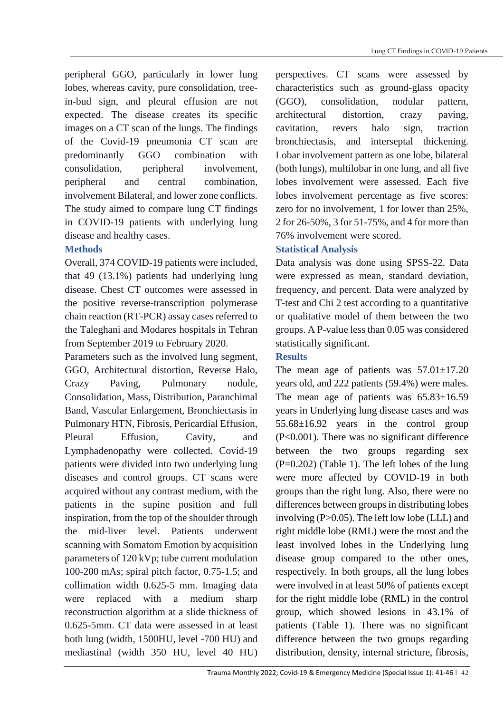peripheral GGO, particularly in lower lung lobes, whereas cavity, pure consolidation, treein-bud sign, and pleural effusion are not expected. The disease creates its specific images on a CT scan of the lungs. The findings of the Covid-19 pneumonia CT scan are predominantly GGO combination with consolidation, peripheral involvement, peripheral and central combination, involvement Bilateral, and lower zone conflicts. The study aimed to compare lung CT findings in COVID-19 patients with underlying lung disease and healthy cases.

# **Methods**

Overall, 374 COVID-19 patients were included, that 49 (13.1%) patients had underlying lung disease. Chest CT outcomes were assessed in the positive reverse-transcription polymerase chain reaction (RT-PCR) assay cases referred to the Taleghani and Modares hospitals in Tehran from September 2019 to February 2020.

Parameters such as the involved lung segment, GGO, Architectural distortion, Reverse Halo, Crazy Paving, Pulmonary nodule, Consolidation, Mass, Distribution, Paranchimal Band, Vascular Enlargement, Bronchiectasis in Pulmonary HTN, Fibrosis, Pericardial Effusion, Pleural Effusion, Cavity, and Lymphadenopathy were collected. Covid-19 patients were divided into two underlying lung diseases and control groups. CT scans were acquired without any contrast medium, with the patients in the supine position and full inspiration, from the top of the shoulder through the mid-liver level. Patients underwent scanning with Somatom Emotion by acquisition parameters of 120 kVp; tube current modulation 100-200 mAs; spiral pitch factor, 0.75-1.5; and collimation width 0.625-5 mm. Imaging data were replaced with a medium sharp reconstruction algorithm at a slide thickness of 0.625-5mm. CT data were assessed in at least both lung (width, 1500HU, level -700 HU) and mediastinal (width 350 HU, level 40 HU) perspectives. CT scans were assessed by characteristics such as ground-glass opacity (GGO), consolidation, nodular pattern, architectural distortion, crazy paving, cavitation, revers halo sign, traction bronchiectasis, and interseptal thickening. Lobar involvement pattern as one lobe, bilateral (both lungs), multilobar in one lung, and all five lobes involvement were assessed. Each five lobes involvement percentage as five scores: zero for no involvement, 1 for lower than 25%, 2 for 26-50%, 3 for 51-75%, and 4 for more than 76% involvement were scored.

# **Statistical Analysis**

Data analysis was done using SPSS-22. Data were expressed as mean, standard deviation, frequency, and percent. Data were analyzed by T-test and Chi 2 test according to a quantitative or qualitative model of them between the two groups. A P-value less than 0.05 was considered statistically significant.

# **Results**

The mean age of patients was  $57.01 \pm 17.20$ years old, and 222 patients (59.4%) were males. The mean age of patients was  $65.83\pm16.59$ years in Underlying lung disease cases and was 55.68±16.92 years in the control group (P<0.001). There was no significant difference between the two groups regarding sex  $(P=0.202)$  (Table 1). The left lobes of the lung were more affected by COVID-19 in both groups than the right lung. Also, there were no differences between groups in distributing lobes involving (P>0.05). The left low lobe (LLL) and right middle lobe (RML) were the most and the least involved lobes in the Underlying lung disease group compared to the other ones, respectively. In both groups, all the lung lobes were involved in at least 50% of patients except for the right middle lobe (RML) in the control group, which showed lesions in 43.1% of patients (Table 1). There was no significant difference between the two groups regarding distribution, density, internal stricture, fibrosis,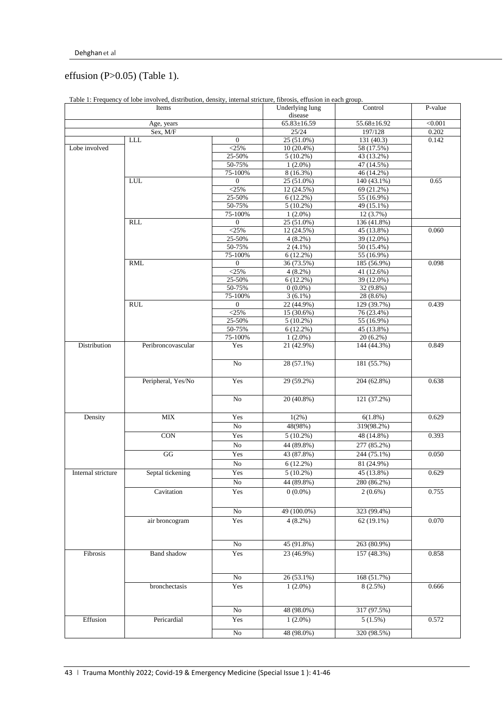# effusion (P>0.05) (Table 1).

| Items              |                        |                   | <b>Underlying lung</b><br>disease | Control                 | P-value |
|--------------------|------------------------|-------------------|-----------------------------------|-------------------------|---------|
| Age, years         |                        |                   | $65.83 \pm 16.59$                 | 55.68±16.92             | < 0.001 |
| Sex, M/F           |                        |                   | 25/24                             | 197/128                 | 0.202   |
|                    | ${\rm LLL}$            | $\mathbf{0}$      | $25(51.0\%)$                      | 131(40.3)               | 0.142   |
| Lobe involved      |                        | $<$ 25%           | 10 (20.4%)                        | 58 (17.5%)              |         |
|                    |                        | 25-50%            | $5(10.2\%)$                       | 43 (13.2%)              |         |
|                    |                        | 50-75%            | $1(2.0\%)$                        | 47 (14.5%)              |         |
|                    |                        | 75-100%           | 8 (16.3%)                         | 46 (14.2%)              |         |
|                    | LUL                    | $\boldsymbol{0}$  | 25 (51.0%)                        | 140 (43.1%)             | 0.65    |
|                    |                        | $<$ 25%           | 12 (24.5%)                        | 69 (21.2%)              |         |
|                    |                        | 25-50%            | $6(12.2\%)$                       | 55 (16.9%)              |         |
|                    |                        | 50-75%            | $5(10.2\%)$                       | 49 (15.1%)              |         |
|                    |                        | 75-100%           | $1(2.0\%)$                        | 12 (3.7%)               |         |
|                    | RLL                    | $\boldsymbol{0}$  | 25 (51.0%)                        | 136 (41.8%)             |         |
|                    |                        | $<$ 25%           | 12 (24.5%)                        | 45 (13.8%)              | 0.060   |
|                    |                        | 25-50%            | $4(8.2\%)$                        | 39 (12.0%)              |         |
|                    |                        | 50-75%            | $2(4.1\%)$                        | 50 (15.4%)              |         |
|                    |                        | 75-100%           | 6(12.2%)                          | 55 (16.9%)              |         |
|                    | <b>RML</b>             | $\overline{0}$    | 36 (73.5%)                        | 185 (56.9%)             | 0.098   |
|                    |                        | $<$ 25%<br>25-50% | 4(8.2%)                           | 41 (12.6%)              |         |
|                    |                        | 50-75%            | 6(12.2%)<br>$0(0.0\%)$            | 39 (12.0%)<br>32 (9.8%) |         |
|                    |                        | 75-100%           | $3(6.1\%)$                        | 28 (8.6%)               |         |
|                    | <b>RUL</b>             | $\mathbf{0}$      | 22 (44.9%)                        | 129 (39.7%)             | 0.439   |
|                    |                        | $<$ 25%           | 15 (30.6%)                        | 76 (23.4%)              |         |
|                    |                        | 25-50%            | $5(10.2\%)$                       | 55 (16.9%)              |         |
|                    |                        | 50-75%            | $6(12.2\%)$                       | 45 (13.8%)              |         |
|                    |                        | 75-100%           | $1(2.0\%)$                        | $20(6.2\%)$             |         |
| Distribution       | Peribroncovascular     | Yes               | 21 (42.9%)                        | 144 (44.3%)             | 0.849   |
|                    |                        |                   |                                   |                         |         |
|                    |                        | No                | 28 (57.1%)                        | 181 (55.7%)             |         |
|                    | Peripheral, Yes/No     | Yes               | 29 (59.2%)                        | 204 (62.8%)             | 0.638   |
|                    |                        | $\rm No$          | 20 (40.8%)                        | 121 (37.2%)             |         |
| Density            | <b>MIX</b>             | Yes               | 1(2%)                             | 6(1.8%)                 | 0.629   |
|                    |                        | $\rm No$          | 48(98%)                           | 319(98.2%)              |         |
|                    | $\overline{CON}$       |                   |                                   |                         | 0.393   |
|                    |                        | Yes               | $5(10.2\%)$                       | 48 (14.8%)              |         |
|                    |                        | $\rm No$          | 44 (89.8%)                        | 277 (85.2%)             |         |
|                    | $\mathbf{G}\mathbf{G}$ | Yes               | 43 (87.8%)                        | 244 (75.1%)             | 0.050   |
|                    |                        | $\rm No$          | 6(12.2%)                          | 81 (24.9%)              |         |
| Internal stricture | Septal tickening       | Yes               | $5(10.2\%)$                       | 45 (13.8%)              | 0.629   |
|                    |                        | $\overline{No}$   | 44 (89.8%)                        | 280 (86.2%)             |         |
|                    | Cavitation             | Yes               | $0(0.0\%)$                        | $2(0.6\%)$              | 0.755   |
|                    |                        | $\rm No$          | 49 (100.0%)                       | 323 (99.4%)             |         |
|                    | air broncogram         | Yes               | $4(8.2\%)$                        | 62 (19.1%)              | 0.070   |
|                    |                        |                   |                                   |                         |         |
|                    |                        | $\rm No$          | 45 (91.8%)                        | 263 (80.9%)             |         |
| Fibrosis           | <b>Band</b> shadow     | Yes               | 23 (46.9%)                        | 157 (48.3%)             | 0.858   |
|                    |                        |                   |                                   |                         |         |
|                    |                        | $\rm No$          | 26 (53.1%)                        | 168 (51.7%)             |         |
|                    | bronchectasis          | Yes               | $1(2.0\%)$                        | 8(2.5%)                 | 0.666   |
|                    |                        |                   |                                   |                         |         |
|                    |                        | ${\rm No}$        | 48 (98.0%)                        | 317 (97.5%)             |         |
| Effusion           | Pericardial            | Yes               | $1(2.0\%)$                        | 5(1.5%)                 | 0.572   |
|                    |                        | $\rm No$          | 48 (98.0%)                        | 320 (98.5%)             |         |

Table 1: Frequency of lobe involved, distribution, density, internal stricture, fibrosis, effusion in each group.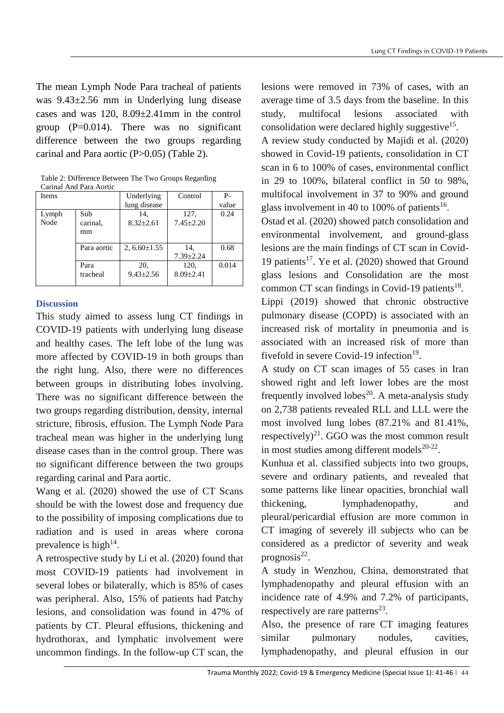The mean Lymph Node Para tracheal of patients was 9.43±2.56 mm in Underlying lung disease cases and was 120, 8.09±2.41mm in the control group  $(P=0.014)$ . There was no significant difference between the two groups regarding carinal and Para aortic (P>0.05) (Table 2).

| <b>Items</b> |             | Underlying<br>lung disease | Control         | $P -$<br>value |
|--------------|-------------|----------------------------|-----------------|----------------|
|              |             |                            |                 |                |
| Lymph        | Sub         | 14.                        | 127,            | 0.24           |
| Node         | carinal.    | $8.32 + 2.61$              | $7.45 + 2.20$   |                |
|              | mm          |                            |                 |                |
|              |             |                            |                 |                |
|              | Para aortic | 2, $6.60 \pm 1.55$         | 14.             | 0.68           |
|              |             |                            | $7.39 \pm 2.24$ |                |
|              | Para        | 20,                        | 120,            | 0.014          |
|              | tracheal    | $9.43 \pm 2.56$            | $8.09 \pm 2.41$ |                |
|              |             |                            |                 |                |

Table 2: Difference Between The Two Groups Regarding Carinal And Para Aortic

# **Discussion**

This study aimed to assess lung CT findings in COVID-19 patients with underlying lung disease and healthy cases. The left lobe of the lung was more affected by COVID-19 in both groups than the right lung. Also, there were no differences between groups in distributing lobes involving. There was no significant difference between the two groups regarding distribution, density, internal stricture, fibrosis, effusion. The Lymph Node Para tracheal mean was higher in the underlying lung disease cases than in the control group. There was no significant difference between the two groups regarding carinal and Para aortic.

Wang et al. (2020) showed the use of CT Scans should be with the lowest dose and frequency due to the possibility of imposing complications due to radiation and is used in areas where corona prevalence is high<sup>14</sup>.

A retrospective study by Li et al. (2020) found that most COVID-19 patients had involvement in several lobes or bilaterally, which is 85% of cases was peripheral. Also, 15% of patients had Patchy lesions, and consolidation was found in 47% of patients by CT. Pleural effusions, thickening and hydrothorax, and lymphatic involvement were uncommon findings. In the follow-up CT scan, the

lesions were removed in 73% of cases, with an average time of 3.5 days from the baseline. In this study, multifocal lesions associated with consolidation were declared highly suggestive<sup>15</sup>. A review study conducted by Majidi et al. (2020) showed in Covid-19 patients, consolidation in CT scan in 6 to 100% of cases, environmental conflict

in 29 to 100%, bilateral conflict in 50 to 98%, multifocal involvement in 37 to 90% and ground glass involvement in 40 to 100% of patients<sup>16</sup>.

Ostad et al. (2020) showed patch consolidation and environmental involvement, and ground-glass lesions are the main findings of CT scan in Covid-19 patients<sup>17</sup>. Ye et al.  $(2020)$  showed that Ground glass lesions and Consolidation are the most common CT scan findings in Covid-19 patients<sup>18</sup>.

Lippi (2019) showed that chronic obstructive pulmonary disease (COPD) is associated with an increased risk of mortality in pneumonia and is associated with an increased risk of more than fivefold in severe Covid-19 infection $19$ .

A study on CT scan images of 55 cases in Iran showed right and left lower lobes are the most frequently involved lobes<sup>20</sup>. A meta-analysis study on 2,738 patients revealed RLL and LLL were the most involved lung lobes (87.21% and 81.41%, respectively) $^{21}$ . GGO was the most common result in most studies among different models $20-22$ .

Kunhua et al. classified subjects into two groups, severe and ordinary patients, and revealed that some patterns like linear opacities, bronchial wall thickening, lymphadenopathy, and pleural/pericardial effusion are more common in CT imaging of severely ill subjects who can be considered as a predictor of severity and weak prognosis $^{22}$ .

A study in Wenzhou, China, demonstrated that lymphadenopathy and pleural effusion with an incidence rate of 4.9% and 7.2% of participants, respectively are rare patterns $^{23}$ .

Also, the presence of rare CT imaging features similar pulmonary nodules, cavities, lymphadenopathy, and pleural effusion in our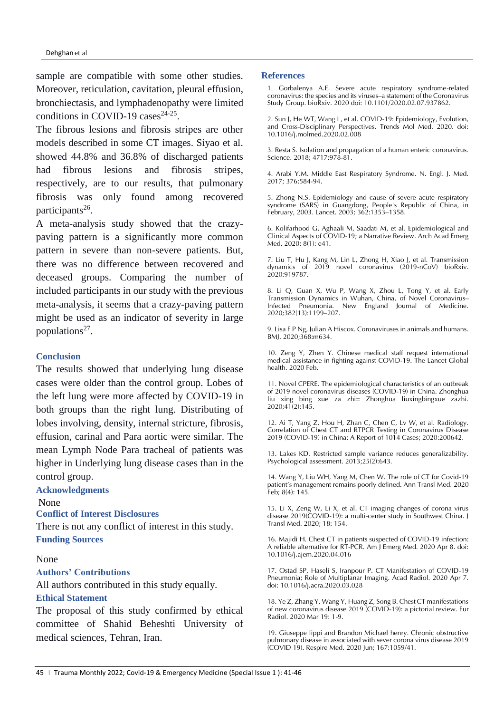sample are compatible with some other studies. Moreover, reticulation, cavitation, pleural effusion, bronchiectasis, and lymphadenopathy were limited conditions in COVID-19 cases<sup>24-25</sup>.

The fibrous lesions and fibrosis stripes are other models described in some CT images. Siyao et al. showed 44.8% and 36.8% of discharged patients had fibrous lesions and fibrosis stripes, respectively, are to our results, that pulmonary fibrosis was only found among recovered participants<sup>26</sup>.

A meta-analysis study showed that the crazypaving pattern is a significantly more common pattern in severe than non-severe patients. But, there was no difference between recovered and deceased groups. Comparing the number of included participants in our study with the previous meta-analysis, it seems that a crazy-paving pattern might be used as an indicator of severity in large populations<sup>27</sup>.

## **Conclusion**

The results showed that underlying lung disease cases were older than the control group. Lobes of the left lung were more affected by COVID-19 in both groups than the right lung. Distributing of lobes involving, density, internal stricture, fibrosis, effusion, carinal and Para aortic were similar. The mean Lymph Node Para tracheal of patients was higher in Underlying lung disease cases than in the control group.

## **Acknowledgments**

None

# **Conflict of Interest Disclosures**

There is not any conflict of interest in this study. **Funding Sources**

#### None

### **Authors' Contributions**

All authors contributed in this study equally.

#### **Ethical Statement**

The proposal of this study confirmed by ethical committee of Shahid Beheshti University of medical sciences, Tehran, Iran.

#### **References**

1. Gorbalenya A.E. Severe acute respiratory syndrome-related coronavirus: the species and its viruses–a statement of the Coronavirus Study Group. bioRxiv. 2020 doi: 10.1101/2020.02.07.937862.

2. Sun J, He WT, Wang L, et al. COVID-19: Epidemiology, Evolution, and Cross-Disciplinary Perspectives. Trends Mol Med. 2020. doi: 10.1016/j.molmed.2020.02.008

3. Resta S. Isolation and propagation of a human enteric coronavirus. Science. 2018; 4717:978-81.

4. Arabi Y.M. Middle East Respiratory Syndrome. N. Engl. J. Med. 2017; 376:584-94.

5. Zhong N.S. Epidemiology and cause of severe acute respiratory syndrome (SARS) in Guangdong, People's Republic of China, in February, 2003. Lancet. 2003; 362:1353–1358.

6. Kolifarhood G, Aghaali M, Saadati M, et al. Epidemiological and Clinical Aspects of COVID-19; a Narrative Review. Arch Acad Emerg Med. 2020; 8(1): e41.

7. Liu T, Hu J, Kang M, Lin L, Zhong H, Xiao J, et al. Transmission dynamics of 2019 novel coronavirus (2019-nCoV) bioRxiv. 2020:919787.

8. Li Q, Guan X, Wu P, Wang X, Zhou L, Tong Y, et al. Early Transmission Dynamics in Wuhan, China, of Novel Coronavirus– Infected Pneumonia. New England Journal of Medicine. 2020;382(13):1199–207.

9. Lisa F P Ng, Julian A Hiscox. Coronaviruses in animals and humans. BMJ. 2020;368:m634.

10. Zeng Y, Zhen Y. Chinese medical staff request international medical assistance in fighting against COVID-19. The Lancet Global health. 2020 Feb.

11. Novel CPERE. The epidemiological characteristics of an outbreak of 2019 novel coronavirus diseases (COVID-19) in China. Zhonghua liu xing bing xue za zhi= Zhonghua liuxingbingxue zazhi. 2020;41(2):145.

12. Ai T, Yang Z, Hou H, Zhan C, Chen C, Lv W, et al. Radiology. Correlation of Chest CT and RTPCR Testing in Coronavirus Disease 2019 (COVID-19) in China: A Report of 1014 Cases; 2020:200642.

13. Lakes KD. Restricted sample variance reduces generalizability. Psychological assessment. 2013;25(2):643.

14. Wang Y, Liu WH, Yang M, Chen W. The role of CT for Covid-19 patient's management remains poorly defined. Ann Transl Med. 2020 Feb; 8(4): 145.

15. Li X, Zeng W, Li X, et al. CT imaging changes of corona virus disease 2019(COVID-19): a multi-center study in Southwest China. J Transl Med. 2020; 18: 154.

16. Majidi H. Chest CT in patients suspected of COVID-19 infection: A reliable alternative for RT-PCR. Am J Emerg Med. 2020 Apr 8. doi: 10.1016/j.ajem.2020.04.016

17. Ostad SP, Haseli S, Iranpour P. CT Manifestation of COVID-19 Pneumonia; Role of Multiplanar Imaging. Acad Radiol. 2020 Apr 7. doi: 10.1016/j.acra.2020.03.028

18. Ye Z, Zhang Y, Wang Y, Huang Z, Song B. Chest CT manifestations of new coronavirus disease 2019 (COVID-19): a pictorial review. Eur Radiol. 2020 Mar 19: 1-9.

19. Giuseppe lippi and Brandon Michael henry. Chronic obstructive pulmonary disease in associated with sever corona virus disease 2019 (COVID 19). Respire Med. 2020 Jun; 167:1059/41.